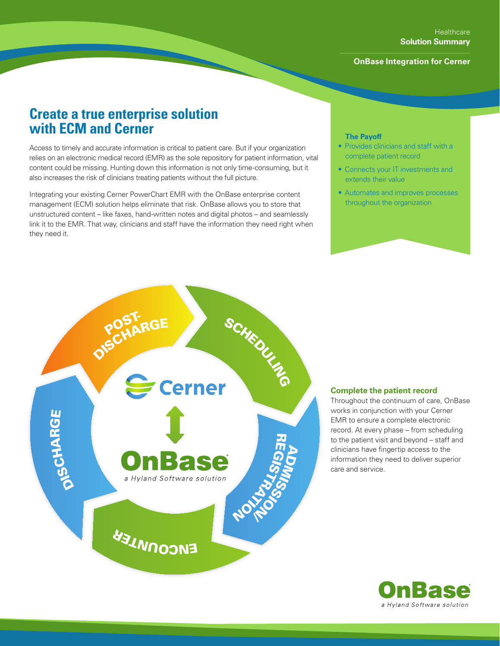## **OnBase Integration for Cerner**

# **Create a true enterprise solution with ECM and Cerner**

Access to timely and accurate information is critical to patient care. But if your organization relies on an electronic medical record (EMR) as the sole repository for patient information, vital content could be missing. Hunting down this information is not only time-consuming, but it also increases the risk of clinicians treating patients without the full picture.

Integrating your existing Cerner PowerChart EMR with the OnBase enterprise content management (ECM) solution helps eliminate that risk. OnBase allows you to store that unstructured content – like faxes, hand-written notes and digital photos – and seamlessly link it to the EMR. That way, clinicians and staff have the information they need right when they need it.

## **The Payoff**

- Provides clinicians and staff with a complete patient record
- Connects your IT investments and extends their value
- Automates and improves processes throughout the organization



#### **Complete the patient record**

Throughout the continuum of care, OnBase works in conjunction with your Cerner EMR to ensure a complete electronic record. At every phase – from scheduling to the patient visit and beyond – staff and clinicians have fingertip access to the information they need to deliver superior care and service.